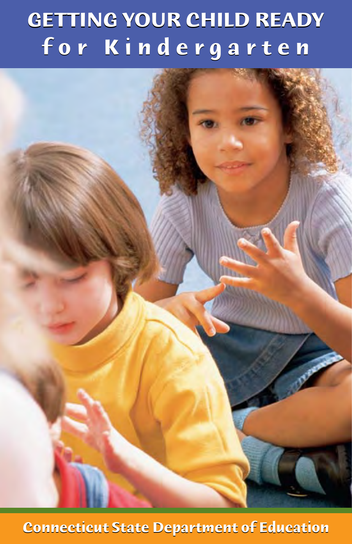# **GETTING YOUR CHILD READY GETTING YOUR CHILD READY for Kindergarten f o r K i n d e r g a r t e n**

**Connecticut State Department of Education Connecticut State Department of Education**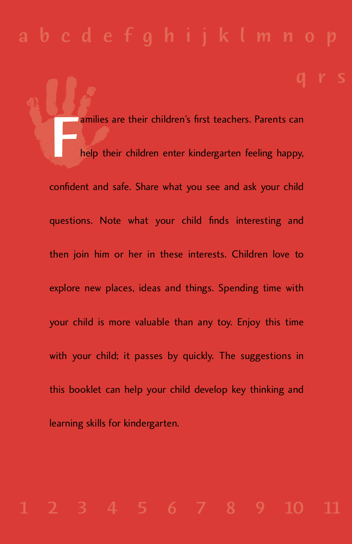$\mathbf{q}$ 

amilies are their children's first teachers. Parents can Fhelp their children enter kindergarten feeling happy, confident and safe. Share what you see and ask your child questions. Note what your child finds interesting and then join him or her in these interests. Children love to explore new places, ideas and things. Spending time with your child is more valuable than any toy. Enjoy this time with your child; it passes by quickly. The suggestions in this booklet can help your child develop key thinking and learning skills for kindergarten.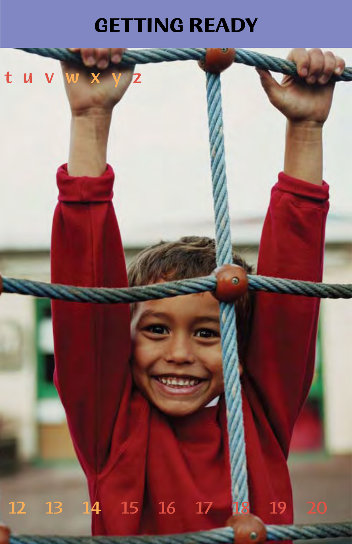# **GETTING READY**

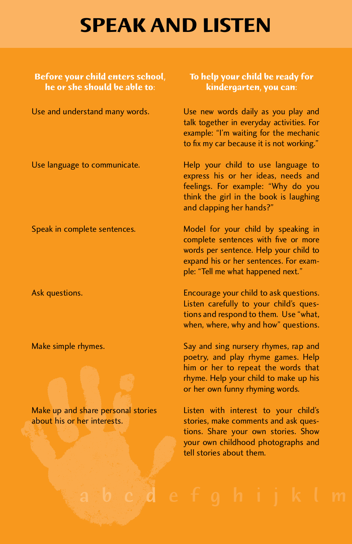## **SPEAK AND LISTEN**

**Before your child enters school, To help your child be ready for he or she should be able to: kindergarten, you can:** 

Use and understand many words.

Use language to communicate.

Speak in complete sentences.

Ask questions.

Make simple rhymes.

Make up and share personal stories about his or her interests.

Use new words daily as you play and<br>talk together in everyday activities. For example: "I'm waiting for the mechanic example: "I'm waiting for the mechanic to fix my car because it is not working."

Help your child to use language to<br>express his or her ideas, needs and feelings. For example: "Why do you think the girl in the book is laughing think the girl in the book is laughing and clapping her hands?"

Model for your child by speaking in<br>complete sentences with five or more words per sentence. Help your child to expand his or her sentences. For examexpand his or her sentences. For example: "Tell me what happened next."

Encourage your child to ask questions.<br>Listen carefully to your child's questions and respond to them. Use "what, tions and respond to them. Use "what, when, where, why and how" questions.

Say and sing nursery rhymes, rap and<br>poetry, and play rhyme games. Help him or her to repeat the words that rhyme. Help your child to make up his rhyme. Help your child to make up his or her own funny rhyming words.

 stories, make comments and ask quest ions. Share your own stories. Show Listen with interest to your child's stories, make comments and ask quesyour own childhood photographs and tell stories about them.

defohijkl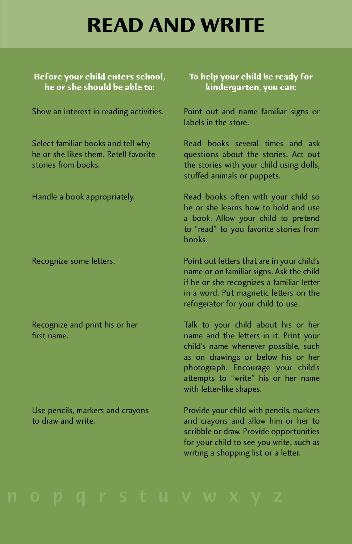# **READ AND WRITE**

### **Before your child enters school, To help your child be ready for**

Show an interest in reading activities.

Select familiar books and tell why<br>he or she likes them. Retell favorite he or she likes them. Retell favorite stories from books.

Handle a book appropriately.

Recognize some letters.

Recognize and print his or her first name.

Use pencils, markers and crayons to draw and write.

## kindergarten, you can:

Point out and name familiar signs or labels in the store.

Read books several times and ask questions about the stories. Act out the stories with your child using dolls, the stories with your child using dolls, stanca animals or puppets.

Read books often with your child so<br>he or she learns how to hold and use a book. Allow your child to pretend a book. Allow your child to pretend to "read" to you favorite stories from books.

Point out letters that are in your child's<br>name or on familiar signs. Ask the child if he or she recognizes a familiar letter in a word. Put magnetic letters on the in a word. Put magnetic letters on the refrigerator for your child to use.

Talk to your child about his or her<br>name and the letters in it. Print your child's name whenever possible, such as on drawings or below his or her photograph. Encourage your child's photograph. Encourage your child's attempts to "write" his or her name with letter-like shapes.

Provide your critic with periens, markers and cra yons and allow him or her to for your child to see you write, such as for your child to see you write, such as writing a shopping list or a letter.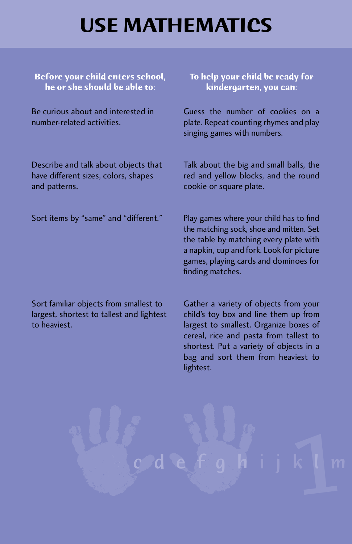# **USE MATHEMATICS**

**Before your child enters school, To help your child be ready for he or she should be able to:** 

Be curious about and interested in number-related activities.

Describe and talk about objects that have different sizes, colors, shapes and patterns.

Sort items by "same" and "different."

Guess the number of cookies on a<br>plate. Repeat counting rhymes and play plate. Repeat counting rhymes and play singing games with numbers.

Talk about the big and small balls, the red and yenow blocks, and the round cookie or square plate.

Play games where your child has to find<br>the matching sock, shoe and mitten. Set the table by matching every plate with a napkin, cup and fork. Look for picture a napkin, cup and fork. Look for picture games, playing cards and dominoes for finding matches.

Sort familiar objects from smallest to largest, shortest to tallest and lightest to heaviest.

Gather a variety of objects from your<br>child's toy box and line them up from largest to smallest. Organize boxes of cereal, rice and pasta from tallest to shortest. Put a variety of objects in a shortest. Put a variety of objects in a bag and sort them from heaviest to lightest.

abcdefgh ijk l m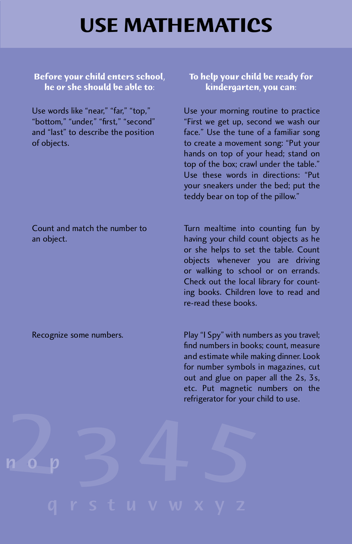## **USE MATHEMATICS**

**Before your child enters school, he or she should be able to:** 

Use words like "near," "far," "top," bottom, under, mst, second and "last" to describe the position of objects.

**To help your child be ready for kindergarten, you can:** 

Use your morning routine to practice<br>"First we get up, second we wash our face." Use the tune of a familiar song to create a movement song: "Put your hands on top of your head; stand on top of the box; crawl under the table." Use these words in directions: "Put your sneakers under the bed; put the your sneakers under the bed; put the teddy bear on top of the pillow.

Turn mealtime into counting fun by<br>having your child count objects as he or she helps to set the table. Count objects whenever you are driving or walking to school or on errands. Check out the local library for count-Check out the local library for counting books. Children love to read and re-read these books.

Play "I Spy" with numbers as you travel;<br>find numbers in books; count, measure and estimate while making dinner. Look for number symbols in magazines, cut out and glue on paper all the 2s, 3s, etc. Put magnetic numbers on the etc. Put magnetic numbers on the refrigerator for your child to use.

Count and match the number to an object.

Recognize some numbers.

2 3 4 5

nop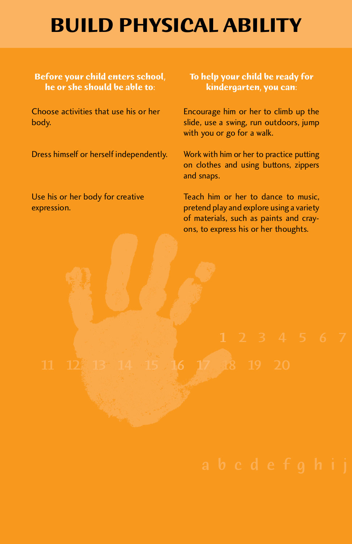# **BUILD PHYSICAL ABILITY**

### **Before your child enters school, To help your child be ready for he or she should be able to:**

Dress himself or herself independently. Work with him or her to practice putting

Choose activities that use his or her Encourage him or her to climb up the body. slide, use a swing, run outdoors, jump with you or go for a walk.

> on clothes and using buttons, zippers and snaps.

USE his or her body for creative Teach him or her to dance to music,<br>
expression. pretend play and explore using a variety of materials, such as paints and crayons, to express his or her thoughts.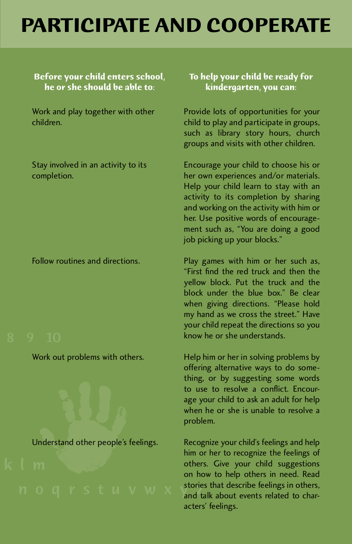# **PARTICIPATE AND COOPERATE**

### **Before your child enters school, he or she should be able to:**

Work and play together with other children.

Stay involved in an activity to its completion.

Follow routines and directions.

Work out problems with others.



### **To help your child be ready for kindergarten, you can:**

Provide lots of opportunities for your<br>child to play and participate in groups, such as library story hours, church such as library story hours, church groups and visits with other children.

Encourage your child to choose his or<br>her own experiences and/or materials. Help your child learn to stay with an activity to its completion by sharing and working on the activity with him or her. Use positive words of encouragement such as, "You are doing a good ment such as, "You are doing a good" job picking up your blocks."

Play games with him or her such as,<br>"First find the red truck and then the yellow block. Put the truck and the block under the blue box." Be clear when giving directions. "Please hold my hand as we cross the street." Have your child repeat the directions so you your child repeat the directions so you know he or she understands.

Help him or her in solving problems by<br>offering alternative ways to do something, or by suggesting some words to use to resolve a conflict. Encourage your child to ask an adult for help age your child to ask an adult for help when he or she is unable to resolve a problem.

 others. Give your child suggestions on how to help others in need. Read Recognize your child's feelings and help<br>him or her to recognize the feelings of others. Give your child suggestions and talk about events related to characters' feelings.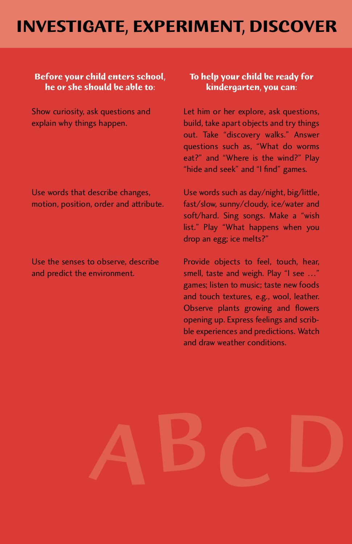### **INVESTIGATE, EXPERIMENT, DISCOVER**

### **Before your child enters school, To help your child be ready for**

Show curiosity, ask questions and explain why things happen.

Use words that describe changes, motion, position, order and attribute.

Use the senses to observe, describe and predict the environment.

### kindergarten, you can:

Let him or her explore, ask questions,<br>build, take apart objects and try things out. Take "discovery walks." Answer questions such as, "What do worms eat?" and "Where is the wind?" Play eat: and where is the wind? Play mut and seek" and "I find" games.

 soft/hard. Sing songs. Make a "wish list. They what happens when you Use words such as day/night, big/little,<br>fast/slow, sunny/cloudy, ice/water and soft/hard. Sing songs. Make a "wish drop an egg; ice melts?"

Provide objects to feel, touch, hear, Provide objects to feel, touch, hear, games; listen to music; taste new foods games; listen to music; taste new foods Observe plants growing and flowers opening up. Express feelings and scribble experiences and predictions. Watch ble experiences and predictions. Watch and draw weather conditions.

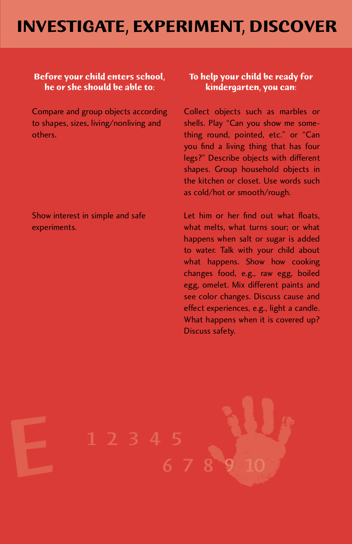### **INVESTIGATE, EXPERIMENT, DISCOVER**

### **Before your child enters school, To help your child be ready for he or she should be able to: kindergarten, you can:**

Compare and group objects according<br>to shapes, sizes, living/nonliving and

Collect objects such as marbles or shells. Play "Can you show me someothers.<br>
others.<br>
others.<br>
others.<br>
others.<br>
others.<br>
others.<br>
others. you find a living thing that has four<br>legs?" Describe objects with different shapes. Group household objects in the kitchen or closet. Use words such the kitchen or closet. Use words such as cold/hot or smooth/rough.

Show interest in simple and safe Let him or her find out what floats, experiments. happens when salt or sugar is added<br>to water. Talk with your child about what happens. Show how cooking changes food, e.g., raw egg, boiled egg, omelet. Mix different paints and see color changes. Discuss cause and effect experiences, e.g., light a candle. effect experiences, e.g., light a candle. what happens when it is covered up: Discuss safety.